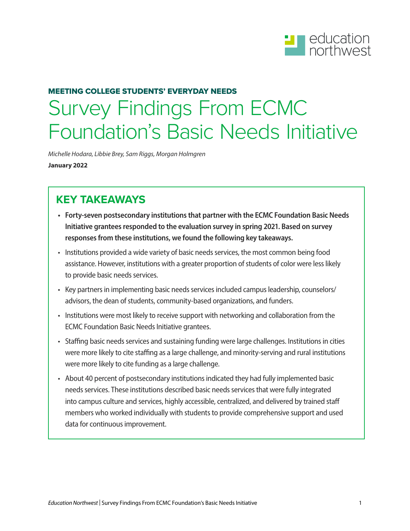

# MEETING COLLEGE STUDENTS' EVERYDAY NEEDS Survey Findings From ECMC Foundation's Basic Needs Initiative

*Michelle Hodara, Libbie Brey, Sam Riggs, Morgan Holmgren*  **January 2022**

### **KEY TAKEAWAYS**

- **• Forty-seven postsecondary institutions that partner with the ECMC Foundation Basic Needs Initiative grantees responded to the evaluation survey in spring 2021. Based on survey responses from these institutions, we found the following key takeaways.**
- Institutions provided a wide variety of basic needs services, the most common being food assistance. However, institutions with a greater proportion of students of color were less likely to provide basic needs services.
- Key partners in implementing basic needs services included campus leadership, counselors/ advisors, the dean of students, community-based organizations, and funders.
- Institutions were most likely to receive support with networking and collaboration from the ECMC Foundation Basic Needs Initiative grantees.
- Staffing basic needs services and sustaining funding were large challenges. Institutions in cities were more likely to cite staffing as a large challenge, and minority-serving and rural institutions were more likely to cite funding as a large challenge.
- About 40 percent of postsecondary institutions indicated they had fully implemented basic needs services. These institutions described basic needs services that were fully integrated into campus culture and services, highly accessible, centralized, and delivered by trained staff members who worked individually with students to provide comprehensive support and used data for continuous improvement.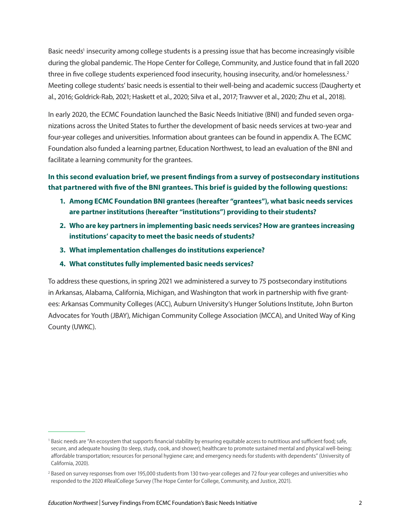Basic needs<sup>1</sup> insecurity among college students is a pressing issue that has become increasingly visible during the global pandemic. The Hope Center for College, Community, and Justice found that in fall 2020 three in five college students experienced food insecurity, housing insecurity, and/or homelessness.<sup>2</sup> Meeting college students' basic needs is essential to their well-being and academic success (Daugherty et al., 2016; Goldrick-Rab, 2021; Haskett et al., 2020; Silva et al., 2017; Trawver et al., 2020; Zhu et al., 2018).

In early 2020, the ECMC Foundation launched the Basic Needs Initiative (BNI) and funded seven organizations across the United States to further the development of basic needs services at two-year and four-year colleges and universities. Information about grantees can be found in appendix A. The ECMC Foundation also funded a learning partner, Education Northwest, to lead an evaluation of the BNI and facilitate a learning community for the grantees.

#### **In this second evaluation brief, we present findings from a survey of postsecondary institutions that partnered with five of the BNI grantees. This brief is guided by the following questions:**

- **1. Among ECMC Foundation BNI grantees (hereafter "grantees"), what basic needs services are partner institutions (hereafter "institutions") providing to their students?**
- **2. Who are key partners in implementing basic needs services? How are grantees increasing institutions' capacity to meet the basic needs of students?**
- **3. What implementation challenges do institutions experience?**
- **4. What constitutes fully implemented basic needs services?**

To address these questions, in spring 2021 we administered a survey to 75 postsecondary institutions in Arkansas, Alabama, California, Michigan, and Washington that work in partnership with five grantees: Arkansas Community Colleges (ACC), Auburn University's Hunger Solutions Institute, John Burton Advocates for Youth (JBAY), Michigan Community College Association (MCCA), and United Way of King County (UWKC).

<sup>&</sup>lt;sup>1</sup> Basic needs are "An ecosystem that supports financial stability by ensuring equitable access to nutritious and sufficient food; safe, secure, and adequate housing (to sleep, study, cook, and shower); healthcare to promote sustained mental and physical well-being; affordable transportation; resources for personal hygiene care; and emergency needs for students with dependents" (University of California, 2020).

<sup>&</sup>lt;sup>2</sup> Based on survey responses from over 195,000 students from 130 two-year colleges and 72 four-year colleges and universities who responded to the 2020 #RealCollege Survey (The Hope Center for College, Community, and Justice, 2021).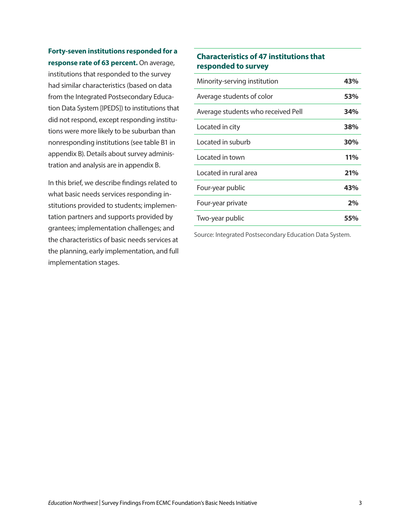**Forty-seven institutions responded for a response rate of 63 percent.** On average,

institutions that responded to the survey had similar characteristics (based on data from the Integrated Postsecondary Education Data System [IPEDS]) to institutions that did not respond, except responding institutions were more likely to be suburban than nonresponding institutions (see table B1 in appendix B). Details about survey administration and analysis are in appendix B.

In this brief, we describe findings related to what basic needs services responding institutions provided to students; implementation partners and supports provided by grantees; implementation challenges; and the characteristics of basic needs services at the planning, early implementation, and full implementation stages.

#### **Characteristics of 47 institutions that responded to survey**

| Minority-serving institution       | 43%        |
|------------------------------------|------------|
| Average students of color          | 53%        |
| Average students who received Pell | 34%        |
| Located in city                    | 38%        |
| Located in suburb                  | 30%        |
| Located in town                    | <b>11%</b> |
| Located in rural area              | 21%        |
| Four-year public                   | 43%        |
| Four-year private                  | 2%         |
| Two-year public                    | 55%        |

Source: Integrated Postsecondary Education Data System.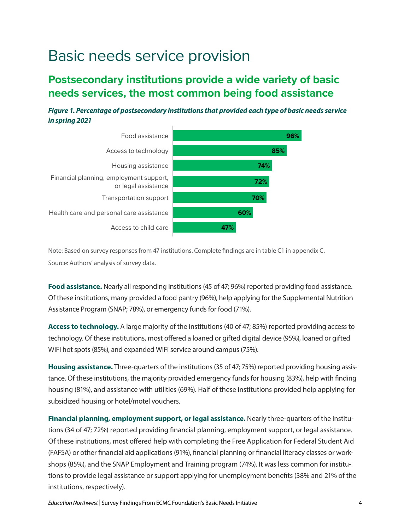## Basic needs service provision

### **Postsecondary institutions provide a wide variety of basic needs services, the most common being food assistance**

*Figure 1. Percentage of postsecondary institutions that provided each type of basic needs service in spring 2021*



Note: Based on survey responses from 47 institutions. Complete findings are in table C1 in appendix C. Source: Authors' analysis of survey data.

**Food assistance.** Nearly all responding institutions (45 of 47; 96%) reported providing food assistance. Of these institutions, many provided a food pantry (96%), help applying for the Supplemental Nutrition Assistance Program (SNAP; 78%), or emergency funds for food (71%).

**Access to technology.** A large majority of the institutions (40 of 47; 85%) reported providing access to technology. Of these institutions, most offered a loaned or gifted digital device (95%), loaned or gifted WiFi hot spots (85%), and expanded WiFi service around campus (75%).

**Housing assistance.** Three-quarters of the institutions (35 of 47; 75%) reported providing housing assistance. Of these institutions, the majority provided emergency funds for housing (83%), help with finding housing (81%), and assistance with utilities (69%). Half of these institutions provided help applying for subsidized housing or hotel/motel vouchers.

**Financial planning, employment support, or legal assistance.** Nearly three-quarters of the institutions (34 of 47; 72%) reported providing financial planning, employment support, or legal assistance. Of these institutions, most offered help with completing the Free Application for Federal Student Aid (FAFSA) or other financial aid applications (91%), financial planning or financial literacy classes or workshops (85%), and the SNAP Employment and Training program (74%). It was less common for institutions to provide legal assistance or support applying for unemployment benefits (38% and 21% of the institutions, respectively).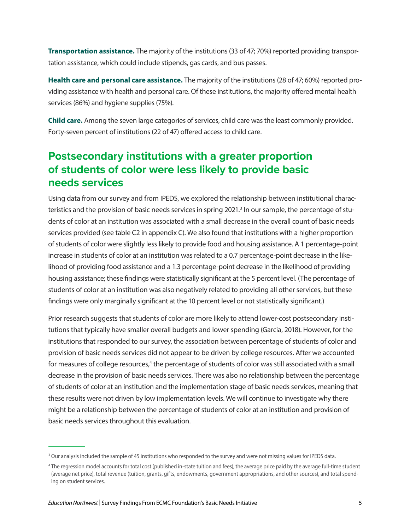**Transportation assistance.** The majority of the institutions (33 of 47; 70%) reported providing transportation assistance, which could include stipends, gas cards, and bus passes.

**Health care and personal care assistance.** The majority of the institutions (28 of 47; 60%) reported providing assistance with health and personal care. Of these institutions, the majority offered mental health services (86%) and hygiene supplies (75%).

**Child care.** Among the seven large categories of services, child care was the least commonly provided. Forty-seven percent of institutions (22 of 47) offered access to child care.

### **Postsecondary institutions with a greater proportion of students of color were less likely to provide basic needs services**

Using data from our survey and from IPEDS, we explored the relationship between institutional characteristics and the provision of basic needs services in spring 2021.<sup>3</sup> In our sample, the percentage of students of color at an institution was associated with a small decrease in the overall count of basic needs services provided (see table C2 in appendix C). We also found that institutions with a higher proportion of students of color were slightly less likely to provide food and housing assistance. A 1 percentage-point increase in students of color at an institution was related to a 0.7 percentage-point decrease in the likelihood of providing food assistance and a 1.3 percentage-point decrease in the likelihood of providing housing assistance; these findings were statistically significant at the 5 percent level. (The percentage of students of color at an institution was also negatively related to providing all other services, but these findings were only marginally significant at the 10 percent level or not statistically significant.)

Prior research suggests that students of color are more likely to attend lower-cost postsecondary institutions that typically have smaller overall budgets and lower spending (Garcia, 2018). However, for the institutions that responded to our survey, the association between percentage of students of color and provision of basic needs services did not appear to be driven by college resources. After we accounted for measures of college resources,<sup>4</sup> the percentage of students of color was still associated with a small decrease in the provision of basic needs services. There was also no relationship between the percentage of students of color at an institution and the implementation stage of basic needs services, meaning that these results were not driven by low implementation levels. We will continue to investigate why there might be a relationship between the percentage of students of color at an institution and provision of basic needs services throughout this evaluation.

<sup>&</sup>lt;sup>3</sup> Our analysis included the sample of 45 institutions who responded to the survey and were not missing values for IPEDS data.

<sup>4</sup> The regression model accounts for total cost (published in-state tuition and fees), the average price paid by the average full-time student (average net price), total revenue (tuition, grants, gifts, endowments, government appropriations, and other sources), and total spending on student services.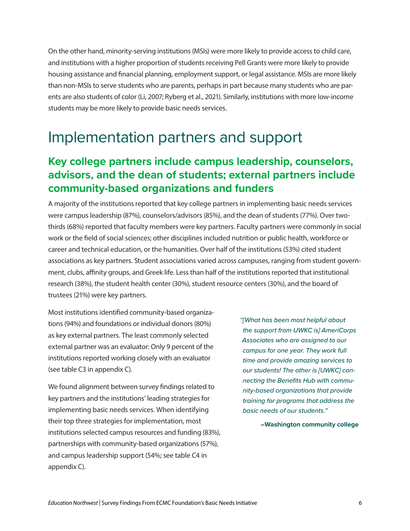On the other hand, minority-serving institutions (MSIs) were more likely to provide access to child care, and institutions with a higher proportion of students receiving Pell Grants were more likely to provide housing assistance and financial planning, employment support, or legal assistance. MSIs are more likely than non-MSIs to serve students who are parents, perhaps in part because many students who are parents are also students of color (Li, 2007; Ryberg et al., 2021). Similarly, institutions with more low-income students may be more likely to provide basic needs services.

## Implementation partners and support

### **Key college partners include campus leadership, counselors, advisors, and the dean of students; external partners include community-based organizations and funders**

A majority of the institutions reported that key college partners in implementing basic needs services were campus leadership (87%), counselors/advisors (85%), and the dean of students (77%). Over twothirds (68%) reported that faculty members were key partners. Faculty partners were commonly in social work or the field of social sciences; other disciplines included nutrition or public health, workforce or career and technical education, or the humanities. Over half of the institutions (53%) cited student associations as key partners. Student associations varied across campuses, ranging from student government, clubs, affinity groups, and Greek life. Less than half of the institutions reported that institutional research (38%), the student health center (30%), student resource centers (30%), and the board of trustees (21%) were key partners.

Most institutions identified community-based organizations (94%) and foundations or individual donors (80%) as key external partners. The least commonly selected external partner was an evaluator: Only 9 percent of the institutions reported working closely with an evaluator (see table C3 in appendix C).

We found alignment between survey findings related to key partners and the institutions' leading strategies for implementing basic needs services. When identifying their top three strategies for implementation, most institutions selected campus resources and funding (83%), partnerships with community-based organizations (57%), and campus leadership support (54%; see table C4 in appendix C).

*"[What has been most helpful about the support from UWKC is] AmeriCorps Associates who are assigned to our campus for one year. They work full time and provide amazing services to our students! The other is [UWKC] connecting the Benefits Hub with community-based organizations that provide training for programs that address the basic needs of our students."* 

**–Washington community college**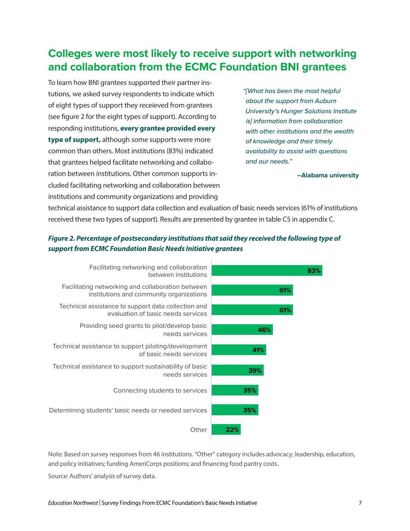### **Colleges were most likely to receive support with networking and collaboration from the ECMC Foundation BNI grantees**

To learn how BNI grantees supported their partner instutions, we asked survey respondents to indicate which of eight types of support they receieved from grantees (see figure 2 for the eight types of support). According to responding institutions, **every grantee provided every type of support,** although some supports were more common than others. Most institutions (83%) indicated that grantees helped facilitate networking and collaboration between institutions. Other common supports included facilitating networking and collaboration between institutions and community organizations and providing

*"[What has been the most helpful about the support from Auburn University's Hunger Solutions Institute is] information from collaboration with other institutions and the wealth of knowledge and their timely availability to assist with questions and our needs."* 

**–Alabama university**

technical assistance to support data collection and evaluation of basic needs services (61% of institutions received these two types of support). Results are presented by grantee in table C5 in appendix C.

#### *Figure 2. Percentage of postsecondary institutions that said they received the following type of support from ECMC Foundation Basic Needs Initiative grantees*



Note: Based on survey responses from 46 institutions. "Other" category includes advocacy; leadership, education, and policy initiatives; funding AmeriCorps positions; and financing food pantry costs.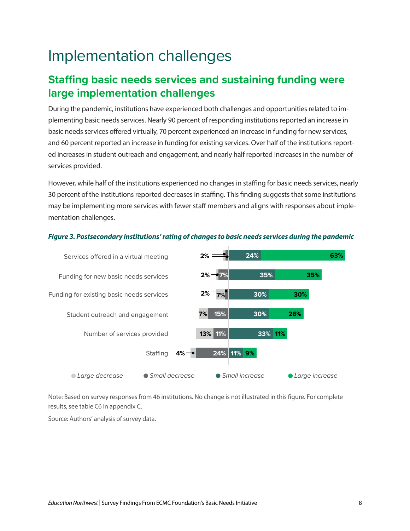# Implementation challenges

### **Staffing basic needs services and sustaining funding were large implementation challenges**

During the pandemic, institutions have experienced both challenges and opportunities related to implementing basic needs services. Nearly 90 percent of responding institutions reported an increase in basic needs services offered virtually, 70 percent experienced an increase in funding for new services, and 60 percent reported an increase in funding for existing services. Over half of the institutions reported increases in student outreach and engagement, and nearly half reported increases in the number of services provided.

However, while half of the institutions experienced no changes in staffing for basic needs services, nearly 30 percent of the institutions reported decreases in staffing. This finding suggests that some institutions may be implementing more services with fewer staff members and aligns with responses about implementation challenges.



#### *Figure 3. Postsecondary institutions' rating of changes to basic needs services during the pandemic*

Note: Based on survey responses from 46 institutions. No change is not illustrated in this figure. For complete results, see table C6 in appendix C.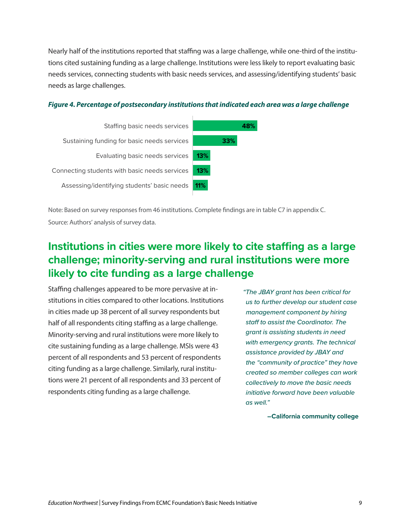Nearly half of the institutions reported that staffing was a large challenge, while one-third of the institutions cited sustaining funding as a large challenge. Institutions were less likely to report evaluating basic needs services, connecting students with basic needs services, and assessing/identifying students' basic needs as large challenges.





Note: Based on survey responses from 46 institutions. Complete findings are in table C7 in appendix C. Source: Authors' analysis of survey data.

### **Institutions in cities were more likely to cite staffing as a large challenge; minority-serving and rural institutions were more likely to cite funding as a large challenge**

Staffing challenges appeared to be more pervasive at institutions in cities compared to other locations. Institutions in cities made up 38 percent of all survey respondents but half of all respondents citing staffing as a large challenge. Minority-serving and rural institutions were more likely to cite sustaining funding as a large challenge. MSIs were 43 percent of all respondents and 53 percent of respondents citing funding as a large challenge. Similarly, rural institutions were 21 percent of all respondents and 33 percent of respondents citing funding as a large challenge.

*"The JBAY grant has been critical for us to further develop our student case management component by hiring staff to assist the Coordinator. The grant is assisting students in need with emergency grants. The technical assistance provided by JBAY and the "community of practice" they have created so member colleges can work collectively to move the basic needs initiative forward have been valuable as well."*

**–California community college**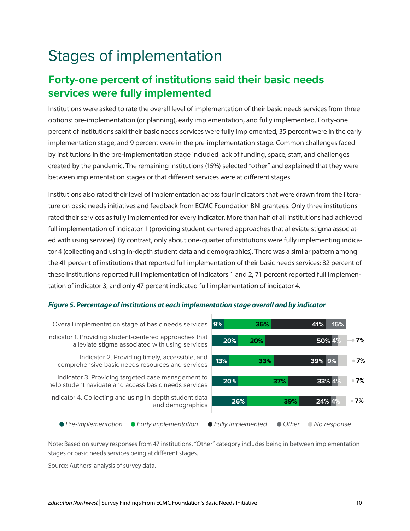# Stages of implementation

### **Forty-one percent of institutions said their basic needs services were fully implemented**

Institutions were asked to rate the overall level of implementation of their basic needs services from three options: pre-implementation (or planning), early implementation, and fully implemented. Forty-one percent of institutions said their basic needs services were fully implemented, 35 percent were in the early implementation stage, and 9 percent were in the pre-implementation stage. Common challenges faced by institutions in the pre-implementation stage included lack of funding, space, staff, and challenges created by the pandemic. The remaining institutions (15%) selected "other" and explained that they were between implementation stages or that different services were at different stages.

Institutions also rated their level of implementation across four indicators that were drawn from the literature on basic needs initiatives and feedback from ECMC Foundation BNI grantees. Only three institutions rated their services as fully implemented for every indicator. More than half of all institutions had achieved full implementation of indicator 1 (providing student-centered approaches that alleviate stigma associated with using services). By contrast, only about one-quarter of institutions were fully implementing indicator 4 (collecting and using in-depth student data and demographics). There was a similar pattern among the 41 percent of institutions that reported full implementation of their basic needs services: 82 percent of these institutions reported full implementation of indicators 1 and 2, 71 percent reported full implementation of indicator 3, and only 47 percent indicated full implementation of indicator 4.

#### *Figure 5. Percentage of institutions at each implementation stage overall and by indicator*



Note: Based on survey responses from 47 institutions. "Other" category includes being in between implementation stages or basic needs services being at different stages.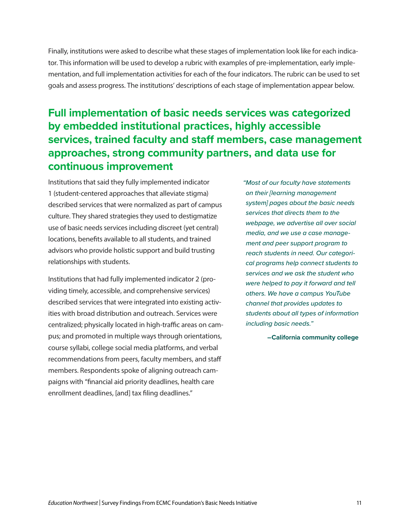Finally, institutions were asked to describe what these stages of implementation look like for each indicator. This information will be used to develop a rubric with examples of pre-implementation, early implementation, and full implementation activities for each of the four indicators. The rubric can be used to set goals and assess progress. The institutions' descriptions of each stage of implementation appear below.

### **Full implementation of basic needs services was categorized by embedded institutional practices, highly accessible services, trained faculty and staff members, case management approaches, strong community partners, and data use for continuous improvement**

Institutions that said they fully implemented indicator 1 (student-centered approaches that alleviate stigma) described services that were normalized as part of campus culture. They shared strategies they used to destigmatize use of basic needs services including discreet (yet central) locations, benefits available to all students, and trained advisors who provide holistic support and build trusting relationships with students.

Institutions that had fully implemented indicator 2 (providing timely, accessible, and comprehensive services) described services that were integrated into existing activities with broad distribution and outreach. Services were centralized; physically located in high-traffic areas on campus; and promoted in multiple ways through orientations, course syllabi, college social media platforms, and verbal recommendations from peers, faculty members, and staff members. Respondents spoke of aligning outreach campaigns with "financial aid priority deadlines, health care enrollment deadlines, [and] tax filing deadlines."

*"Most of our faculty have statements on their [learning management system] pages about the basic needs services that directs them to the webpage, we advertise all over social media, and we use a case management and peer support program to reach students in need. Our categorical programs help connect students to services and we ask the student who were helped to pay it forward and tell others. We have a campus YouTube channel that provides updates to students about all types of information including basic needs."* 

**–California community college**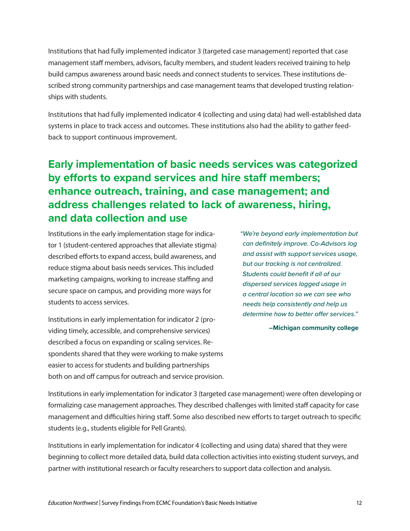Institutions that had fully implemented indicator 3 (targeted case management) reported that case management staff members, advisors, faculty members, and student leaders received training to help build campus awareness around basic needs and connect students to services. These institutions described strong community partnerships and case management teams that developed trusting relationships with students.

Institutions that had fully implemented indicator 4 (collecting and using data) had well-established data systems in place to track access and outcomes. These institutions also had the ability to gather feedback to support continuous improvement.

### **Early implementation of basic needs services was categorized by efforts to expand services and hire staff members; enhance outreach, training, and case management; and address challenges related to lack of awareness, hiring, and data collection and use**

Institutions in the early implementation stage for indicator 1 (student-centered approaches that alleviate stigma) described efforts to expand access, build awareness, and reduce stigma about basis needs services. This included marketing campaigns, working to increase staffing and secure space on campus, and providing more ways for students to access services.

Institutions in early implementation for indicator 2 (providing timely, accessible, and comprehensive services) described a focus on expanding or scaling services. Respondents shared that they were working to make systems easier to access for students and building partnerships both on and off campus for outreach and service provision. *"We're beyond early implementation but can definitely improve. Co-Advisors log and assist with support services usage, but our tracking is not centralized. Students could benefit if all of our dispersed services logged usage in a central location so we can see who needs help consistently and help us determine how to better offer services."* 

**–Michigan community college**

Institutions in early implementation for indicator 3 (targeted case management) were often developing or formalizing case management approaches. They described challenges with limited staff capacity for case management and difficulties hiring staff. Some also described new efforts to target outreach to specific students (e.g., students eligible for Pell Grants).

Institutions in early implementation for indicator 4 (collecting and using data) shared that they were beginning to collect more detailed data, build data collection activities into existing student surveys, and partner with institutional research or faculty researchers to support data collection and analysis.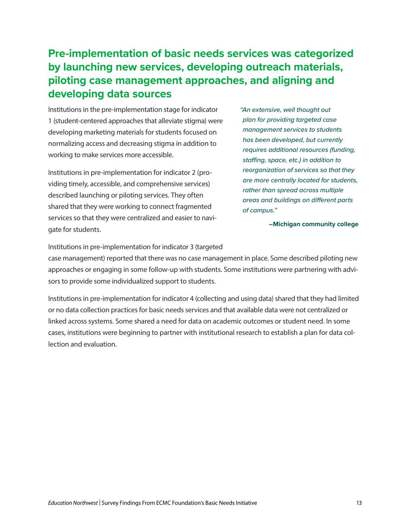### **Pre-implementation of basic needs services was categorized by launching new services, developing outreach materials, piloting case management approaches, and aligning and developing data sources**

Institutions in the pre-implementation stage for indicator 1 (student-centered approaches that alleviate stigma) were developing marketing materials for students focused on normalizing access and decreasing stigma in addition to working to make services more accessible.

Institutions in pre-implementation for indicator 2 (providing timely, accessible, and comprehensive services) described launching or piloting services. They often shared that they were working to connect fragmented services so that they were centralized and easier to navigate for students.

*"An extensive, well thought out plan for providing targeted case management services to students has been developed, but currently requires additional resources (funding, staffing, space, etc.) in addition to reorganization of services so that they are more centrally located for students, rather than spread across multiple areas and buildings on different parts of campus."* 

**–Michigan community college**

Institutions in pre-implementation for indicator 3 (targeted

case management) reported that there was no case management in place. Some described piloting new approaches or engaging in some follow-up with students. Some institutions were partnering with advisors to provide some individualized support to students.

Institutions in pre-implementation for indicator 4 (collecting and using data) shared that they had limited or no data collection practices for basic needs services and that available data were not centralized or linked across systems. Some shared a need for data on academic outcomes or student need. In some cases, institutions were beginning to partner with institutional research to establish a plan for data collection and evaluation.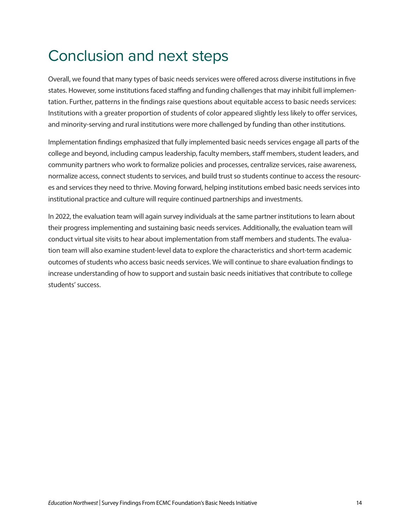## Conclusion and next steps

Overall, we found that many types of basic needs services were offered across diverse institutions in five states. However, some institutions faced staffing and funding challenges that may inhibit full implementation. Further, patterns in the findings raise questions about equitable access to basic needs services: Institutions with a greater proportion of students of color appeared slightly less likely to offer services, and minority-serving and rural institutions were more challenged by funding than other institutions.

Implementation findings emphasized that fully implemented basic needs services engage all parts of the college and beyond, including campus leadership, faculty members, staff members, student leaders, and community partners who work to formalize policies and processes, centralize services, raise awareness, normalize access, connect students to services, and build trust so students continue to access the resources and services they need to thrive. Moving forward, helping institutions embed basic needs services into institutional practice and culture will require continued partnerships and investments.

In 2022, the evaluation team will again survey individuals at the same partner institutions to learn about their progress implementing and sustaining basic needs services. Additionally, the evaluation team will conduct virtual site visits to hear about implementation from staff members and students. The evaluation team will also examine student-level data to explore the characteristics and short-term academic outcomes of students who access basic needs services. We will continue to share evaluation findings to increase understanding of how to support and sustain basic needs initiatives that contribute to college students' success.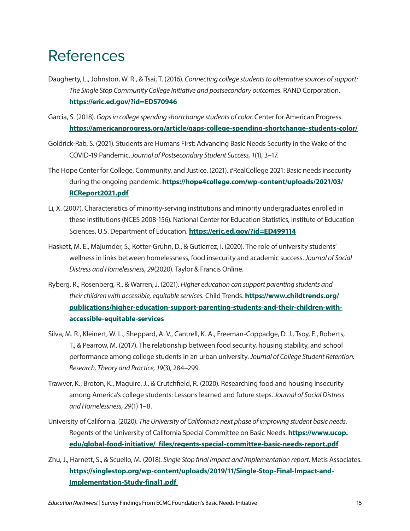## References

- Daugherty, L., Johnston, W. R., & Tsai, T. (2016). *Connecting college students to alternative sources of support: The Single Stop Community College Initiative and postsecondary outcomes.* RAND Corporation. **<https://eric.ed.gov/?id=ED570946>**
- Garcia, S. (2018). *Gaps in college spending shortchange students of color*. Center for American Progress. **<https://americanprogress.org/article/gaps-college-spending-shortchange-students-color/>**
- Goldrick-Rab, S. (2021). Students are Humans First: Advancing Basic Needs Security in the Wake of the COVID-19 Pandemic. *Journal of Postsecondary Student Success, 1*(1), 3–17.
- The Hope Center for College, Community, and Justice. (2021). #RealCollege 2021: Basic needs insecurity during the ongoing pandemic. **[https://hope4college.com/wp-content/uploads/2021/03/](https://hope4college.com/wp-content/uploads/2021/03/RCReport2021.pdf) [RCReport2021.pdf](https://hope4college.com/wp-content/uploads/2021/03/RCReport2021.pdf)**
- Li, X. (2007). Characteristics of minority-serving institutions and minority undergraduates enrolled in these institutions (NCES 2008-156). National Center for Education Statistics, Institute of Education Sciences, U.S. Department of Education. **<https://eric.ed.gov/?id=ED499114>**
- Haskett, M. E., Majumder, S., Kotter-Gruhn, D., & Gutierrez, I. (2020). The role of university students' wellness in links between homelessness, food insecurity and academic success. *Journal of Social Distress and Homelessness, 29*(2020). Taylor & Francis Online.
- Ryberg, R., Rosenberg, R., & Warren, J. (2021). *Higher education can support parenting students and their children with accessible, equitable services.* Child Trends. **[https://www.childtrends.org/](https://www.childtrends.org/publications/higher-education-support-parenting-students-and-their-children-with-accessible-equitable-services) [publications/higher-education-support-parenting-students-and-their-children-with](https://www.childtrends.org/publications/higher-education-support-parenting-students-and-their-children-with-accessible-equitable-services)[accessible-equitable-services](https://www.childtrends.org/publications/higher-education-support-parenting-students-and-their-children-with-accessible-equitable-services)**
- Silva, M. R., Kleinert, W. L., Sheppard, A. V., Cantrell, K. A., Freeman-Coppadge, D. J., Tsoy, E., Roberts, T., & Pearrow, M. (2017). The relationship between food security, housing stability, and school performance among college students in an urban university. *Journal of College Student Retention: Research, Theory and Practice, 19*(3), 284–299.
- Trawver, K., Broton, K., Maguire, J., & Crutchfield, R. (2020). Researching food and housing insecurity among America's college students: Lessons learned and future steps. *Journal of Social Distress and Homelessness, 29*(1) 1–8.
- University of California. (2020). *The University of California's next phase of improving student basic needs.*  Regents of the University of California Special Committee on Basic Needs. **[https://www.ucop.](https://www.ucop.edu/global-food-initiative/_files/regents-special-committee-basic-needs-report.pdf) [edu/global-food-initiative/\\_files/regents-special-committee-basic-needs-report.pdf](https://www.ucop.edu/global-food-initiative/_files/regents-special-committee-basic-needs-report.pdf)**
- Zhu, J., Harnett, S., & Scuello, M. (2018). *Single Stop final impact and implementation report.* Metis Associates. **[https://singlestop.org/wp-content/uploads/2019/11/Single-Stop-Final-Impact-and-](https://singlestop.org/wp-content/uploads/2019/11/Single-Stop-Final-Impact-and-Implementation-Study-final1.pdf )[Implementation-Study-final1.pdf](https://singlestop.org/wp-content/uploads/2019/11/Single-Stop-Final-Impact-and-Implementation-Study-final1.pdf )**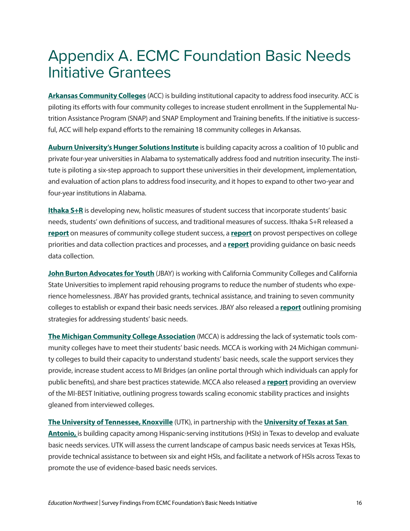## Appendix A. ECMC Foundation Basic Needs Initiative Grantees

**[Arkansas Community Colleges](https://www.arkansascc.org/)** (ACC) is building institutional capacity to address food insecurity. ACC is piloting its efforts with four community colleges to increase student enrollment in the Supplemental Nutrition Assistance Program (SNAP) and SNAP Employment and Training benefits. If the initiative is successful, ACC will help expand efforts to the remaining 18 community colleges in Arkansas.

**[Auburn University's Hunger Solutions Institute](http://wp.auburn.edu/hsi/)** is building capacity across a coalition of 10 public and private four-year universities in Alabama to systematically address food and nutrition insecurity. The institute is piloting a six-step approach to support these universities in their development, implementation, and evaluation of action plans to address food insecurity, and it hopes to expand to other two-year and four-year institutions in Alabama.

**[Ithaka S+R](https://sr.ithaka.org/)** is developing new, holistic measures of student success that incorporate students' basic needs, students' own definitions of success, and traditional measures of success. Ithaka S+R released a **[report](https://sr.ithaka.org/publications/measuring-the-whole-student/)** on measures of community college student success, a **[report](https://sr.ithaka.org/publications/moving-the-needle-on-college-student-basic-needs/)** on provost perspectives on college priorities and data collection practices and processes, and a **[report](https://sr.ithaka.org/page/basic-needs-data/)** providing guidance on basic needs data collection.

**[John Burton Advocates for Youth](https://www.jbaforyouth.org/)** (JBAY) is working with California Community Colleges and California State Universities to implement rapid rehousing programs to reduce the number of students who experience homelessness. JBAY has provided grants, technical assistance, and training to seven community colleges to establish or expand their basic needs services. JBAY also released a **[report](https://www.jbaforyouth.org/wp-content/uploads/2020/10/Basic-Needs-Report.pdf)** outlining promising strategies for addressing students' basic needs.

**[The Michigan Community College Association](https://www.mcca.org/)** (MCCA) is addressing the lack of systematic tools community colleges have to meet their students' basic needs. MCCA is working with 24 Michigan community colleges to build their capacity to understand students' basic needs, scale the support services they provide, increase student access to MI Bridges (an online portal through which individuals can apply for public benefits), and share best practices statewide. MCCA also released a **[report](https://www.mcca.org/uploads/ckeditor/files/MiBEST Year 1 study Final.pdf)** providing an overview of the MI-BEST Initiative, outlining progress towards scaling economic stability practices and insights gleaned from interviewed colleges.

#### **[The University of Tennessee, Knoxville](https://utk.edu/)** (UTK), in partnership with the **[University of Texas at San](https://www.utsa.edu/)**

**Antonio**, is building capacity among Hispanic-serving institutions (HSIs) in Texas to develop and evaluate basic needs services. UTK will assess the current landscape of campus basic needs services at Texas HSIs, provide technical assistance to between six and eight HSIs, and facilitate a network of HSIs across Texas to promote the use of evidence-based basic needs services.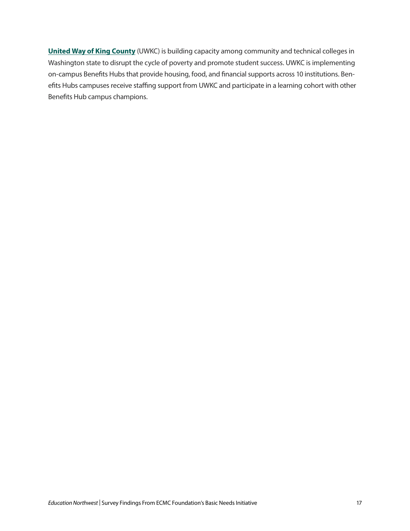**[United Way of King County](https://www.uwkc.org/)** (UWKC) is building capacity among community and technical colleges in Washington state to disrupt the cycle of poverty and promote student success. UWKC is implementing on-campus Benefits Hubs that provide housing, food, and financial supports across 10 institutions. Benefits Hubs campuses receive staffing support from UWKC and participate in a learning cohort with other Benefits Hub campus champions.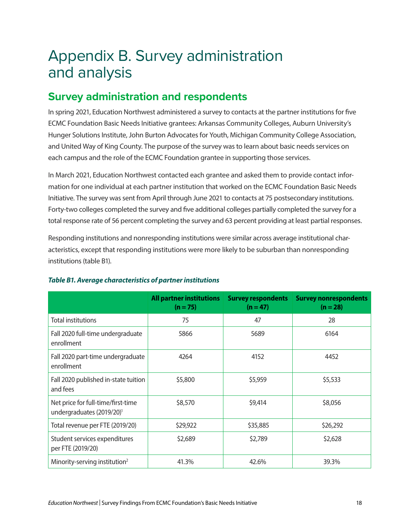# Appendix B. Survey administration and analysis

#### **Survey administration and respondents**

In spring 2021, Education Northwest administered a survey to contacts at the partner institutions for five ECMC Foundation Basic Needs Initiative grantees: Arkansas Community Colleges, Auburn University's Hunger Solutions Institute, John Burton Advocates for Youth, Michigan Community College Association, and United Way of King County. The purpose of the survey was to learn about basic needs services on each campus and the role of the ECMC Foundation grantee in supporting those services.

In March 2021, Education Northwest contacted each grantee and asked them to provide contact information for one individual at each partner institution that worked on the ECMC Foundation Basic Needs Initiative. The survey was sent from April through June 2021 to contacts at 75 postsecondary institutions. Forty-two colleges completed the survey and five additional colleges partially completed the survey for a total response rate of 56 percent completing the survey and 63 percent providing at least partial responses.

Responding institutions and nonresponding institutions were similar across average institutional characteristics, except that responding institutions were more likely to be suburban than nonresponding institutions (table B1).

|                                                                             | <b>All partner institutions</b><br>$(n = 75)$ | <b>Survey respondents</b><br>$(n = 47)$ | <b>Survey nonrespondents</b><br>$(n = 28)$ |
|-----------------------------------------------------------------------------|-----------------------------------------------|-----------------------------------------|--------------------------------------------|
| <b>Total institutions</b>                                                   | 75                                            | 47                                      | 28                                         |
| Fall 2020 full-time undergraduate<br>enrollment                             | 5866                                          | 5689                                    | 6164                                       |
| Fall 2020 part-time undergraduate<br>enrollment                             | 4264                                          | 4152                                    | 4452                                       |
| Fall 2020 published in-state tuition<br>and fees                            | \$5,800                                       | \$5,959                                 | \$5,533                                    |
| Net price for full-time/first-time<br>undergraduates (2019/20) <sup>1</sup> | \$8,570                                       | \$9,414                                 | \$8,056                                    |
| Total revenue per FTE (2019/20)                                             | \$29,922                                      | \$35,885                                | \$26,292                                   |
| Student services expenditures<br>per FTE (2019/20)                          | \$2,689                                       | \$2,789                                 | \$2,628                                    |
| Minority-serving institution <sup>2</sup>                                   | 41.3%                                         | 42.6%                                   | 39.3%                                      |

#### *Table B1. Average characteristics of partner institutions*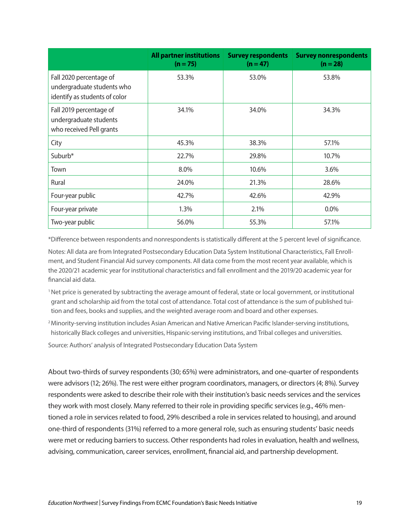|                                                                                        | <b>All partner institutions</b><br>$(n = 75)$ | <b>Survey respondents</b><br>$(n = 47)$ | <b>Survey nonrespondents</b><br>$(n = 28)$ |
|----------------------------------------------------------------------------------------|-----------------------------------------------|-----------------------------------------|--------------------------------------------|
| Fall 2020 percentage of<br>undergraduate students who<br>identify as students of color | 53.3%                                         | 53.0%                                   | 53.8%                                      |
| Fall 2019 percentage of<br>undergraduate students<br>who received Pell grants          | 34.1%                                         | 34.0%                                   | 34.3%                                      |
| City                                                                                   | 45.3%                                         | 38.3%                                   | 57.1%                                      |
| Suburb*                                                                                | 22.7%                                         | 29.8%                                   | 10.7%                                      |
| Town                                                                                   | 8.0%                                          | 10.6%                                   | 3.6%                                       |
| Rural                                                                                  | 24.0%                                         | 21.3%                                   | 28.6%                                      |
| Four-year public                                                                       | 42.7%                                         | 42.6%                                   | 42.9%                                      |
| Four-year private                                                                      | 1.3%                                          | 2.1%                                    | $0.0\%$                                    |
| Two-year public                                                                        | 56.0%                                         | 55.3%                                   | 57.1%                                      |

\*Difference between respondents and nonrespondents is statistically different at the 5 percent level of significance.

Notes: All data are from Integrated Postsecondary Education Data System Institutional Characteristics, Fall Enrollment, and Student Financial Aid survey components. All data come from the most recent year available, which is the 2020/21 academic year for institutional characteristics and fall enrollment and the 2019/20 academic year for financial aid data.

- 1 Net price is generated by subtracting the average amount of federal, state or local government, or institutional grant and scholarship aid from the total cost of attendance. Total cost of attendance is the sum of published tuition and fees, books and supplies, and the weighted average room and board and other expenses.
- 2 Minority-serving institution includes Asian American and Native American Pacific Islander-serving institutions, historically Black colleges and universities, Hispanic-serving institutions, and Tribal colleges and universities.

Source: Authors' analysis of Integrated Postsecondary Education Data System

About two-thirds of survey respondents (30; 65%) were administrators, and one-quarter of respondents were advisors (12; 26%). The rest were either program coordinators, managers, or directors (4; 8%). Survey respondents were asked to describe their role with their institution's basic needs services and the services they work with most closely. Many referred to their role in providing specific services (e.g., 46% mentioned a role in services related to food, 29% described a role in services related to housing), and around one-third of respondents (31%) referred to a more general role, such as ensuring students' basic needs were met or reducing barriers to success. Other respondents had roles in evaluation, health and wellness, advising, communication, career services, enrollment, financial aid, and partnership development.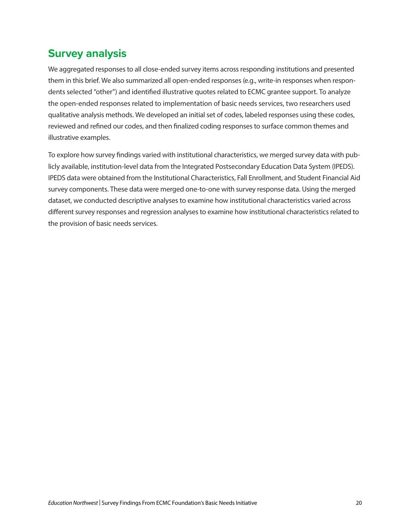### **Survey analysis**

We aggregated responses to all close-ended survey items across responding institutions and presented them in this brief. We also summarized all open-ended responses (e.g., write-in responses when respondents selected "other") and identified illustrative quotes related to ECMC grantee support. To analyze the open-ended responses related to implementation of basic needs services, two researchers used qualitative analysis methods. We developed an initial set of codes, labeled responses using these codes, reviewed and refined our codes, and then finalized coding responses to surface common themes and illustrative examples.

To explore how survey findings varied with institutional characteristics, we merged survey data with publicly available, institution-level data from the Integrated Postsecondary Education Data System (IPEDS). IPEDS data were obtained from the Institutional Characteristics, Fall Enrollment, and Student Financial Aid survey components. These data were merged one-to-one with survey response data. Using the merged dataset, we conducted descriptive analyses to examine how institutional characteristics varied across different survey responses and regression analyses to examine how institutional characteristics related to the provision of basic needs services.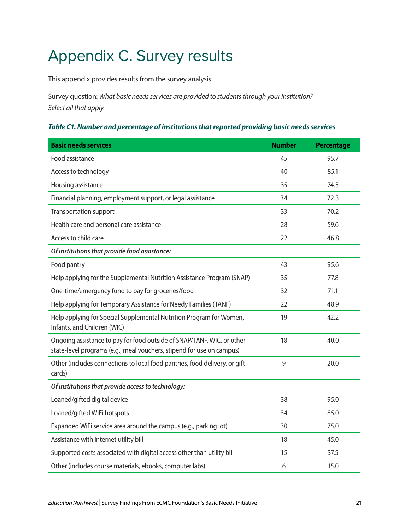# Appendix C. Survey results

This appendix provides results from the survey analysis.

Survey question: *What basic needs services are provided to students through your institution? Select all that apply.*

#### *Table C1. Number and percentage of institutions that reported providing basic needs services*

| <b>Basic needs services</b>                                                                                                                     | <b>Number</b> | <b>Percentage</b> |
|-------------------------------------------------------------------------------------------------------------------------------------------------|---------------|-------------------|
| Food assistance                                                                                                                                 | 45            | 95.7              |
| Access to technology                                                                                                                            | 40            | 85.1              |
| Housing assistance                                                                                                                              | 35            | 74.5              |
| Financial planning, employment support, or legal assistance                                                                                     | 34            | 72.3              |
| Transportation support                                                                                                                          | 33            | 70.2              |
| Health care and personal care assistance                                                                                                        | 28            | 59.6              |
| Access to child care                                                                                                                            | 22            | 46.8              |
| Of institutions that provide food assistance:                                                                                                   |               |                   |
| Food pantry                                                                                                                                     | 43            | 95.6              |
| Help applying for the Supplemental Nutrition Assistance Program (SNAP)                                                                          | 35            | 77.8              |
| One-time/emergency fund to pay for groceries/food                                                                                               | 32            | 71.1              |
| Help applying for Temporary Assistance for Needy Families (TANF)                                                                                | 22            | 48.9              |
| Help applying for Special Supplemental Nutrition Program for Women,<br>Infants, and Children (WIC)                                              | 19            | 42.2              |
| Ongoing assistance to pay for food outside of SNAP/TANF, WIC, or other<br>state-level programs (e.g., meal vouchers, stipend for use on campus) | 18            | 40.0              |
| Other (includes connections to local food pantries, food delivery, or gift<br>cards)                                                            | 9             | 20.0              |
| Of institutions that provide access to technology:                                                                                              |               |                   |
| Loaned/gifted digital device                                                                                                                    | 38            | 95.0              |
| Loaned/gifted WiFi hotspots                                                                                                                     | 34            | 85.0              |
| Expanded WiFi service area around the campus (e.g., parking lot)                                                                                | 30            | 75.0              |
| Assistance with internet utility bill                                                                                                           | 18            | 45.0              |
| Supported costs associated with digital access other than utility bill                                                                          | 15            | 37.5              |
| Other (includes course materials, ebooks, computer labs)                                                                                        | 6             | 15.0              |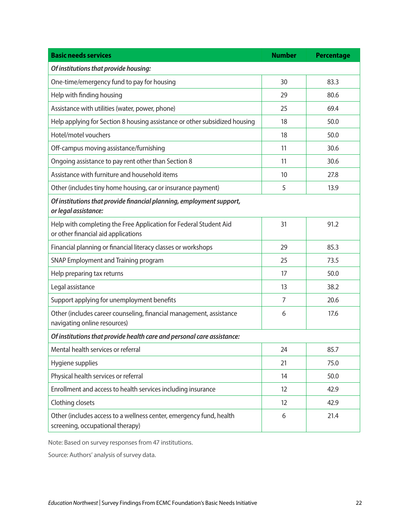| <b>Basic needs services</b>                                                                              | <b>Number</b> | <b>Percentage</b> |
|----------------------------------------------------------------------------------------------------------|---------------|-------------------|
| Of institutions that provide housing:                                                                    |               |                   |
| One-time/emergency fund to pay for housing                                                               | 30            | 83.3              |
| Help with finding housing                                                                                | 29            | 80.6              |
| Assistance with utilities (water, power, phone)                                                          | 25            | 69.4              |
| Help applying for Section 8 housing assistance or other subsidized housing                               | 18            | 50.0              |
| Hotel/motel vouchers                                                                                     | 18            | 50.0              |
| Off-campus moving assistance/furnishing                                                                  | 11            | 30.6              |
| Ongoing assistance to pay rent other than Section 8                                                      | 11            | 30.6              |
| Assistance with furniture and household items                                                            | 10            | 27.8              |
| Other (includes tiny home housing, car or insurance payment)                                             | 5             | 13.9              |
| Of institutions that provide financial planning, employment support,<br>or legal assistance:             |               |                   |
| Help with completing the Free Application for Federal Student Aid<br>or other financial aid applications | 31            | 91.2              |
| Financial planning or financial literacy classes or workshops                                            | 29            | 85.3              |
| SNAP Employment and Training program                                                                     | 25            | 73.5              |
| Help preparing tax returns                                                                               | 17            | 50.0              |
| Legal assistance                                                                                         | 13            | 38.2              |
| Support applying for unemployment benefits                                                               | 7             | 20.6              |
| Other (includes career counseling, financial management, assistance<br>navigating online resources)      | 6             | 17.6              |
| Of institutions that provide health care and personal care assistance:                                   |               |                   |
| Mental health services or referral                                                                       | 24            | 85.7              |
| Hygiene supplies                                                                                         | 21            | 75.0              |
| Physical health services or referral                                                                     | 14            | 50.0              |
| Enrollment and access to health services including insurance                                             | 12            | 42.9              |
| Clothing closets                                                                                         | 12            | 42.9              |
| Other (includes access to a wellness center, emergency fund, health<br>screening, occupational therapy)  | 6             | 21.4              |

Note: Based on survey responses from 47 institutions.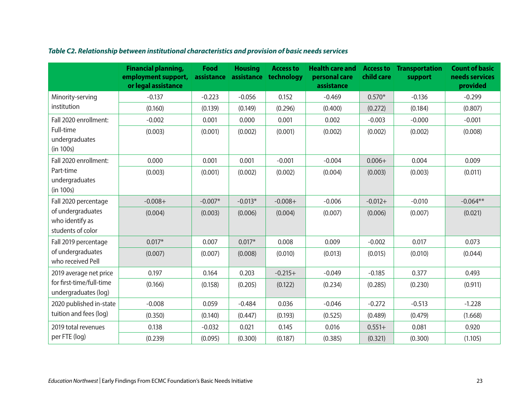|                                                           | <b>Financial planning,</b><br>employment support,<br>or legal assistance | Food<br>assistance | <b>Housing</b> | <b>Access to</b><br>assistance technology | <b>Health care and</b><br>personal care<br>assistance | child care | <b>Access to Transportation</b><br>support | <b>Count of basic</b><br>needs services<br>provided |
|-----------------------------------------------------------|--------------------------------------------------------------------------|--------------------|----------------|-------------------------------------------|-------------------------------------------------------|------------|--------------------------------------------|-----------------------------------------------------|
| Minority-serving                                          | $-0.137$                                                                 | $-0.223$           | $-0.056$       | 0.152                                     | $-0.469$                                              | $0.570*$   | $-0.136$                                   | $-0.299$                                            |
| institution                                               | (0.160)                                                                  | (0.139)            | (0.149)        | (0.296)                                   | (0.400)                                               | (0.272)    | (0.184)                                    | (0.807)                                             |
| Fall 2020 enrollment:                                     | $-0.002$                                                                 | 0.001              | 0.000          | 0.001                                     | 0.002                                                 | $-0.003$   | $-0.000$                                   | $-0.001$                                            |
| Full-time<br>undergraduates<br>(in 100s)                  | (0.003)                                                                  | (0.001)            | (0.002)        | (0.001)                                   | (0.002)                                               | (0.002)    | (0.002)                                    | (0.008)                                             |
| Fall 2020 enrollment:                                     | 0.000                                                                    | 0.001              | 0.001          | $-0.001$                                  | $-0.004$                                              | $0.006 +$  | 0.004                                      | 0.009                                               |
| Part-time<br>undergraduates<br>(in 100s)                  | (0.003)                                                                  | (0.001)            | (0.002)        | (0.002)                                   | (0.004)                                               | (0.003)    | (0.003)                                    | (0.011)                                             |
| Fall 2020 percentage                                      | $-0.008 +$                                                               | $-0.007*$          | $-0.013*$      | $-0.008 +$                                | $-0.006$                                              | $-0.012+$  | $-0.010$                                   | $-0.064**$                                          |
| of undergraduates<br>who identify as<br>students of color | (0.004)                                                                  | (0.003)            | (0.006)        | (0.004)                                   | (0.007)                                               | (0.006)    | (0.007)                                    | (0.021)                                             |
| Fall 2019 percentage                                      | $0.017*$                                                                 | 0.007              | $0.017*$       | 0.008                                     | 0.009                                                 | $-0.002$   | 0.017                                      | 0.073                                               |
| of undergraduates<br>who received Pell                    | (0.007)                                                                  | (0.007)            | (0.008)        | (0.010)                                   | (0.013)                                               | (0.015)    | (0.010)                                    | (0.044)                                             |
| 2019 average net price                                    | 0.197                                                                    | 0.164              | 0.203          | $-0.215+$                                 | $-0.049$                                              | $-0.185$   | 0.377                                      | 0.493                                               |
| for first-time/full-time<br>undergraduates (log)          | (0.166)                                                                  | (0.158)            | (0.205)        | (0.122)                                   | (0.234)                                               | (0.285)    | (0.230)                                    | (0.911)                                             |
| 2020 published in-state                                   | $-0.008$                                                                 | 0.059              | $-0.484$       | 0.036                                     | $-0.046$                                              | $-0.272$   | $-0.513$                                   | $-1.228$                                            |
| tuition and fees (log)                                    | (0.350)                                                                  | (0.140)            | (0.447)        | (0.193)                                   | (0.525)                                               | (0.489)    | (0.479)                                    | (1.668)                                             |
| 2019 total revenues                                       | 0.138                                                                    | $-0.032$           | 0.021          | 0.145                                     | 0.016                                                 | $0.551+$   | 0.081                                      | 0.920                                               |
| per FTE (log)                                             | (0.239)                                                                  | (0.095)            | (0.300)        | (0.187)                                   | (0.385)                                               | (0.321)    | (0.300)                                    | (1.105)                                             |

#### *Table C2. Relationship between institutional characteristics and provision of basic needs services*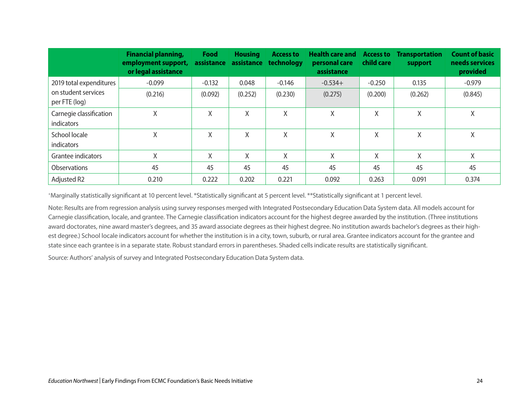|                                       | <b>Financial planning,</b><br>employment support,<br>or legal assistance | Food     | <b>Housing</b> | <b>Access to</b><br>assistance assistance technology | <b>Health care and Access to Transportation</b><br>personal care<br>assistance | child care | support | <b>Count of basic</b><br>needs services<br>provided |
|---------------------------------------|--------------------------------------------------------------------------|----------|----------------|------------------------------------------------------|--------------------------------------------------------------------------------|------------|---------|-----------------------------------------------------|
| 2019 total expenditures               | $-0.099$                                                                 | $-0.132$ | 0.048          | $-0.146$                                             | $-0.534+$                                                                      | $-0.250$   | 0.135   | $-0.979$                                            |
| on student services<br>per FTE (log)  | (0.216)                                                                  | (0.092)  | (0.252)        | (0.230)                                              | (0.275)                                                                        | (0.200)    | (0.262) | (0.845)                                             |
| Carnegie classification<br>indicators | X                                                                        | X        | X              | X                                                    | X                                                                              | Χ          | X       | Χ                                                   |
| School locale<br>indicators           | X                                                                        | X        | χ              | X                                                    | X                                                                              | Χ          | X       | Χ                                                   |
| Grantee indicators                    | Χ                                                                        | Χ        | Χ              | X                                                    | X                                                                              | X          | Χ       | Χ                                                   |
| <b>Observations</b>                   | 45                                                                       | 45       | 45             | 45                                                   | 45                                                                             | 45         | 45      | 45                                                  |
| Adjusted R2                           | 0.210                                                                    | 0.222    | 0.202          | 0.221                                                | 0.092                                                                          | 0.263      | 0.091   | 0.374                                               |

+Marginally statistically significant at 10 percent level. \*Statistically significant at 5 percent level. \*\*Statistically significant at 1 percent level.

Note: Results are from regression analysis using survey responses merged with Integrated Postsecondary Education Data System data. All models account for Carnegie classification, locale, and grantee. The Carnegie classification indicators account for the highest degree awarded by the institution. (Three institutions award doctorates, nine award master's degrees, and 35 award associate degrees as their highest degree. No institution awards bachelor's degrees as their highest degree.) School locale indicators account for whether the institution is in a city, town, suburb, or rural area. Grantee indicators account for the grantee and state since each grantee is in a separate state. Robust standard errors in parentheses. Shaded cells indicate results are statistically significant.

Source: Authors' analysis of survey and Integrated Postsecondary Education Data System data.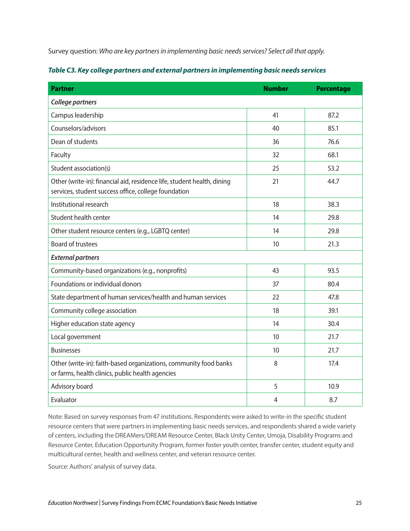Survey question: *Who are key partners in implementing basic needs services? Select all that apply.*

| <b>Partner</b>                                                                                                                  | <b>Number</b>  | <b>Percentage</b> |
|---------------------------------------------------------------------------------------------------------------------------------|----------------|-------------------|
| College partners                                                                                                                |                |                   |
| Campus leadership                                                                                                               | 41             | 87.2              |
| Counselors/advisors                                                                                                             | 40             | 85.1              |
| Dean of students                                                                                                                | 36             | 76.6              |
| Faculty                                                                                                                         | 32             | 68.1              |
| Student association(s)                                                                                                          | 25             | 53.2              |
| Other (write-in): financial aid, residence life, student health, dining<br>services, student success office, college foundation | 21             | 44.7              |
| Institutional research                                                                                                          | 18             | 38.3              |
| Student health center                                                                                                           | 14             | 29.8              |
| Other student resource centers (e.g., LGBTQ center)                                                                             | 14             | 29.8              |
| <b>Board of trustees</b>                                                                                                        | 10             | 21.3              |
| <b>External partners</b>                                                                                                        |                |                   |
| Community-based organizations (e.g., nonprofits)                                                                                | 43             | 93.5              |
| Foundations or individual donors                                                                                                | 37             | 80.4              |
| State department of human services/health and human services                                                                    | 22             | 47.8              |
| Community college association                                                                                                   | 18             | 39.1              |
| Higher education state agency                                                                                                   | 14             | 30.4              |
| Local government                                                                                                                | 10             | 21.7              |
| <b>Businesses</b>                                                                                                               | 10             | 21.7              |
| Other (write-in): faith-based organizations, community food banks<br>or farms, health clinics, public health agencies           | 8              | 17.4              |
| Advisory board                                                                                                                  | 5              | 10.9              |
| Evaluator                                                                                                                       | $\overline{4}$ | 8.7               |

| Table C3. Key college partners and external partners in implementing basic needs services |  |  |  |
|-------------------------------------------------------------------------------------------|--|--|--|
|                                                                                           |  |  |  |

Note: Based on survey responses from 47 institutions. Respondents were asked to write-in the specific student resource centers that were partners in implementing basic needs services, and respondents shared a wide variety of centers, including the DREAMers/DREAM Resource Center, Black Unity Center, Umoja, Disability Programs and Resource Center, Education Opportunity Program, former foster youth center, transfer center, student equity and multicultural center, health and wellness center, and veteran resource center.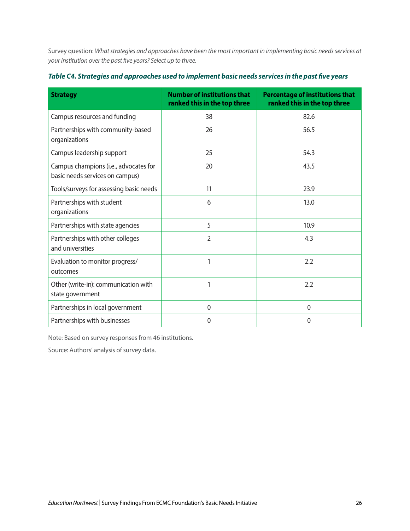Survey question: *What strategies and approaches have been the most important in implementing basic needs services at your institution over the past five years? Select up to three.*

| <b>Strategy</b>                                                          | <b>Number of institutions that</b><br>ranked this in the top three | <b>Percentage of institutions that</b><br>ranked this in the top three |
|--------------------------------------------------------------------------|--------------------------------------------------------------------|------------------------------------------------------------------------|
| Campus resources and funding                                             | 38                                                                 | 82.6                                                                   |
| Partnerships with community-based<br>organizations                       | 26                                                                 | 56.5                                                                   |
| Campus leadership support                                                | 25                                                                 | 54.3                                                                   |
| Campus champions (i.e., advocates for<br>basic needs services on campus) | 20                                                                 | 43.5                                                                   |
| Tools/surveys for assessing basic needs                                  | 11                                                                 | 23.9                                                                   |
| Partnerships with student<br>organizations                               | 6                                                                  | 13.0                                                                   |
| Partnerships with state agencies                                         | 5                                                                  | 10.9                                                                   |
| Partnerships with other colleges<br>and universities                     | $\overline{2}$                                                     | 4.3                                                                    |
| Evaluation to monitor progress/<br>outcomes                              | 1                                                                  | 2.2                                                                    |
| Other (write-in): communication with<br>state government                 | 1                                                                  | 2.2                                                                    |
| Partnerships in local government                                         | $\mathbf{0}$                                                       | $\mathbf 0$                                                            |
| Partnerships with businesses                                             | 0                                                                  | $\mathbf 0$                                                            |

#### *Table C4. Strategies and approaches used to implement basic needs services in the past five years*

Note: Based on survey responses from 46 institutions.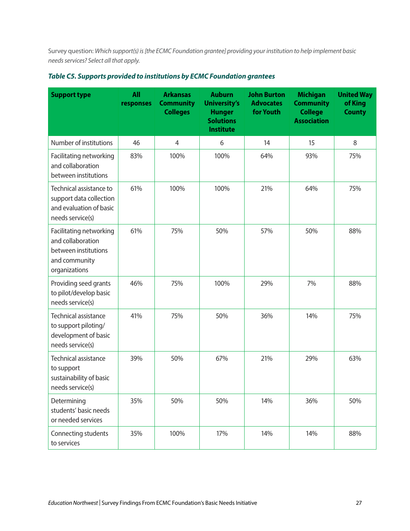Survey question: *Which support(s) is [the ECMC Foundation grantee] providing your institution to help implement basic needs services? Select all that apply.*

| <b>Support type</b>                                                                                    | <b>All</b><br>responses | <b>Arkansas</b><br><b>Community</b><br><b>Colleges</b> | <b>Auburn</b><br><b>University's</b><br><b>Hunger</b><br><b>Solutions</b><br><b>Institute</b> | <b>John Burton</b><br><b>Advocates</b><br>for Youth | <b>Michigan</b><br><b>Community</b><br><b>College</b><br><b>Association</b> | <b>United Way</b><br>of King<br><b>County</b> |
|--------------------------------------------------------------------------------------------------------|-------------------------|--------------------------------------------------------|-----------------------------------------------------------------------------------------------|-----------------------------------------------------|-----------------------------------------------------------------------------|-----------------------------------------------|
| Number of institutions                                                                                 | 46                      | $\overline{4}$                                         | 6                                                                                             | 14                                                  | 15                                                                          | 8                                             |
| Facilitating networking<br>and collaboration<br>between institutions                                   | 83%                     | 100%                                                   | 100%                                                                                          | 64%                                                 | 93%                                                                         | 75%                                           |
| Technical assistance to<br>support data collection<br>and evaluation of basic<br>needs service(s)      | 61%                     | 100%                                                   | 100%                                                                                          | 21%                                                 | 64%                                                                         | 75%                                           |
| Facilitating networking<br>and collaboration<br>between institutions<br>and community<br>organizations | 61%                     | 75%                                                    | 50%                                                                                           | 57%                                                 | 50%                                                                         | 88%                                           |
| Providing seed grants<br>to pilot/develop basic<br>needs service(s)                                    | 46%                     | 75%                                                    | 100%                                                                                          | 29%                                                 | 7%                                                                          | 88%                                           |
| Technical assistance<br>to support piloting/<br>development of basic<br>needs service(s)               | 41%                     | 75%                                                    | 50%                                                                                           | 36%                                                 | 14%                                                                         | 75%                                           |
| <b>Technical assistance</b><br>to support<br>sustainability of basic<br>needs service(s)               | 39%                     | 50%                                                    | 67%                                                                                           | 21%                                                 | 29%                                                                         | 63%                                           |
| Determining<br>students' basic needs<br>or needed services                                             | 35%                     | 50%                                                    | 50%                                                                                           | 14%                                                 | 36%                                                                         | 50%                                           |
| Connecting students<br>to services                                                                     | 35%                     | 100%                                                   | 17%                                                                                           | 14%                                                 | 14%                                                                         | 88%                                           |

| Table C5. Supports provided to institutions by ECMC Foundation grantees |  |  |  |  |  |  |
|-------------------------------------------------------------------------|--|--|--|--|--|--|
|-------------------------------------------------------------------------|--|--|--|--|--|--|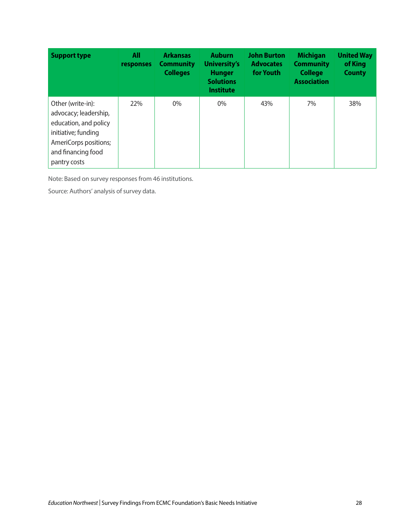| <b>Support type</b>                                                                                                                                       | All<br>responses | <b>Arkansas</b><br><b>Community</b><br><b>Colleges</b> | <b>Auburn</b><br><b>University's</b><br><b>Hunger</b><br><b>Solutions</b><br><b>Institute</b> | <b>John Burton</b><br><b>Advocates</b><br>for Youth | <b>Michigan</b><br><b>Community</b><br><b>College</b><br><b>Association</b> | <b>United Way</b><br>of King<br><b>County</b> |
|-----------------------------------------------------------------------------------------------------------------------------------------------------------|------------------|--------------------------------------------------------|-----------------------------------------------------------------------------------------------|-----------------------------------------------------|-----------------------------------------------------------------------------|-----------------------------------------------|
| Other (write-in):<br>advocacy; leadership,<br>education, and policy<br>initiative; funding<br>AmeriCorps positions;<br>and financing food<br>pantry costs | 22%              | $0\%$                                                  | $0\%$                                                                                         | 43%                                                 | 7%                                                                          | 38%                                           |

Note: Based on survey responses from 46 institutions.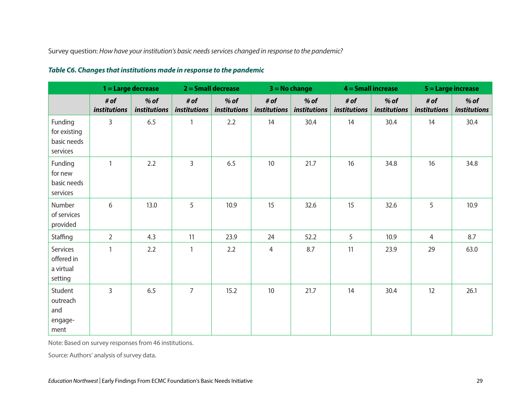Survey question: *How have your institution's basic needs services changed in response to the pandemic?*

|                                                    | $1 =$ Large decrease |                        | $2 =$ Small decrease |                               | $3 = No$ change             |                        | $4 =$ Small increase |                        | 5 = Large increase          |                               |
|----------------------------------------------------|----------------------|------------------------|----------------------|-------------------------------|-----------------------------|------------------------|----------------------|------------------------|-----------------------------|-------------------------------|
|                                                    | # of<br>institutions | $%$ of<br>institutions | # of<br>institutions | $%$ of<br><i>institutions</i> | # of<br><i>institutions</i> | $%$ of<br>institutions | # of<br>institutions | $%$ of<br>institutions | # of<br><i>institutions</i> | $%$ of<br><i>institutions</i> |
| Funding<br>for existing<br>basic needs<br>services | 3                    | 6.5                    | 1                    | 2.2                           | 14                          | 30.4                   | 14                   | 30.4                   | 14                          | 30.4                          |
| Funding<br>for new<br>basic needs<br>services      | 1                    | 2.2                    | 3                    | 6.5                           | 10                          | 21.7                   | 16                   | 34.8                   | 16                          | 34.8                          |
| Number<br>of services<br>provided                  | 6                    | 13.0                   | 5                    | 10.9                          | 15                          | 32.6                   | 15                   | 32.6                   | 5                           | 10.9                          |
| Staffing                                           | $\overline{2}$       | 4.3                    | 11                   | 23.9                          | 24                          | 52.2                   | 5                    | 10.9                   | $\overline{4}$              | 8.7                           |
| Services<br>offered in<br>a virtual<br>setting     | $\mathbf{1}$         | 2.2                    | 1                    | 2.2                           | 4                           | 8.7                    | 11                   | 23.9                   | 29                          | 63.0                          |
| Student<br>outreach<br>and<br>engage-<br>ment      | 3                    | 6.5                    | $\overline{7}$       | 15.2                          | 10                          | 21.7                   | 14                   | 30.4                   | 12                          | 26.1                          |

#### *Table C6. Changes that institutions made in response to the pandemic*

Note: Based on survey responses from 46 institutions.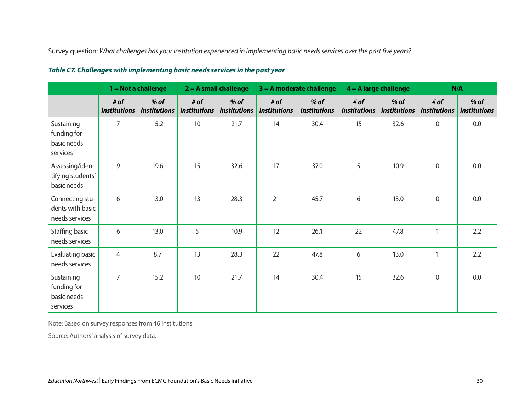Survey question: *What challenges has your institution experienced in implementing basic needs services over the past five years?*

|                                                       | $1 = Not$ a challenge       |                               | $2 = A$ small challenge     |                               | $3 = A$ moderate challenge |                        | $4 = A$ large challenge     |                               | N/A                  |                               |
|-------------------------------------------------------|-----------------------------|-------------------------------|-----------------------------|-------------------------------|----------------------------|------------------------|-----------------------------|-------------------------------|----------------------|-------------------------------|
|                                                       | # of<br><i>institutions</i> | $%$ of<br><i>institutions</i> | # of<br><i>institutions</i> | $%$ of<br><i>institutions</i> | # of<br>institutions       | $%$ of<br>institutions | # of<br><i>institutions</i> | $%$ of<br><i>institutions</i> | # of<br>institutions | $%$ of<br><i>institutions</i> |
| Sustaining<br>funding for<br>basic needs<br>services  | 7                           | 15.2                          | 10                          | 21.7                          | 14                         | 30.4                   | 15                          | 32.6                          | $\mathbf 0$          | $0.0\,$                       |
| Assessing/iden-<br>tifying students'<br>basic needs   | 9                           | 19.6                          | 15                          | 32.6                          | 17                         | 37.0                   | 5                           | 10.9                          | $\mathbf 0$          | 0.0                           |
| Connecting stu-<br>dents with basic<br>needs services | 6                           | 13.0                          | 13                          | 28.3                          | 21                         | 45.7                   | 6                           | 13.0                          | $\mathbf 0$          | 0.0                           |
| Staffing basic<br>needs services                      | 6                           | 13.0                          | 5                           | 10.9                          | 12                         | 26.1                   | 22                          | 47.8                          | 1                    | 2.2                           |
| <b>Evaluating basic</b><br>needs services             | $\overline{4}$              | 8.7                           | 13                          | 28.3                          | 22                         | 47.8                   | 6                           | 13.0                          | $\mathbf{1}$         | 2.2                           |
| Sustaining<br>funding for<br>basic needs<br>services  | $\overline{7}$              | 15.2                          | 10                          | 21.7                          | 14                         | 30.4                   | 15                          | 32.6                          | $\mathbf 0$          | 0.0                           |

#### *Table C7. Challenges with implementing basic needs services in the past year*

Note: Based on survey responses from 46 institutions.